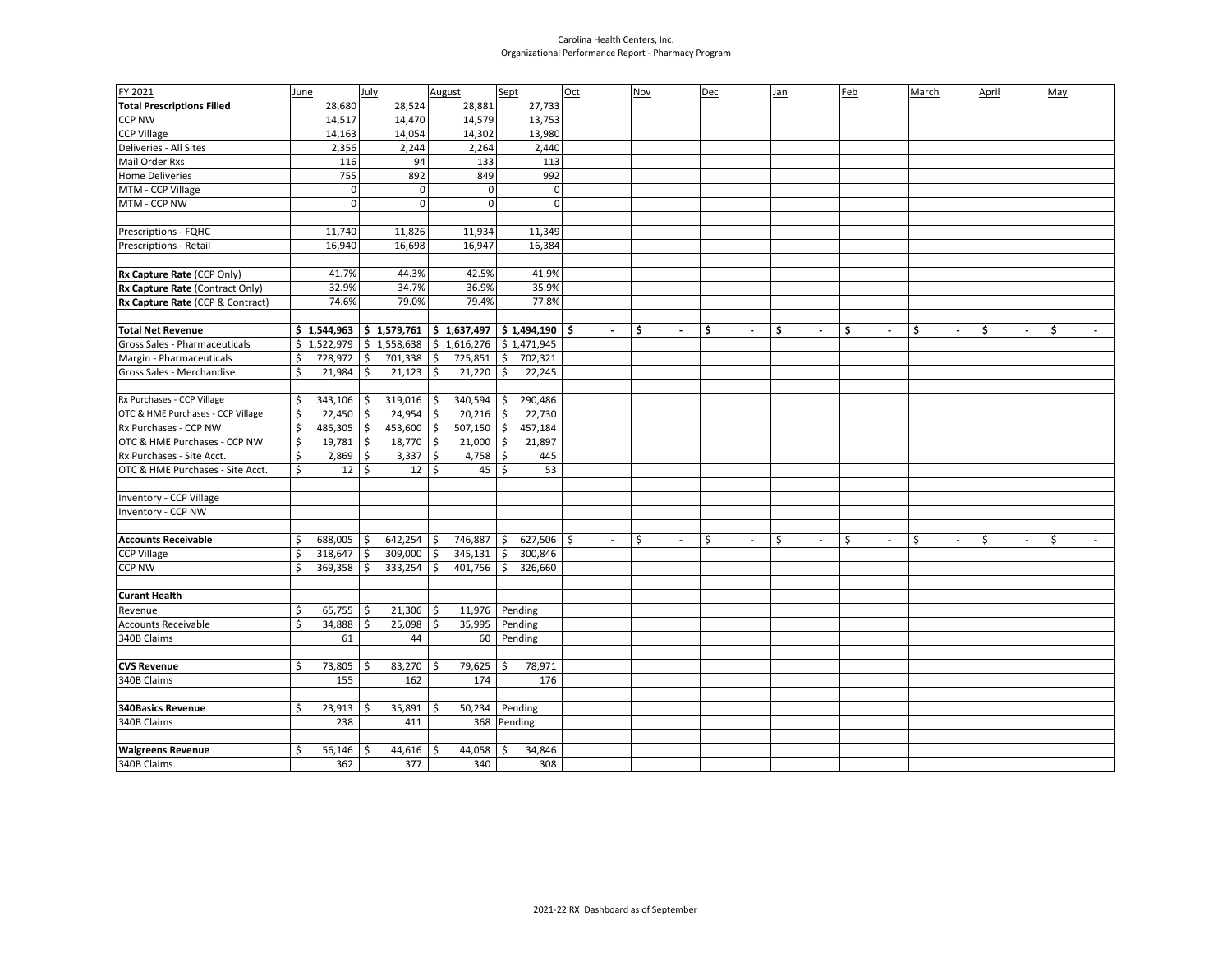## Carolina Health Centers, Inc. Organizational Performance Report - Pharmacy Program

| FY 2021                           | June |                                                                                                               | <b>July</b> |             | August        |                                                       | Sept                |          | Oct |                          | <b>Nov</b> |                          | Dec |                | Jan |                          | Feb |                          | March |                          | April |                          | May                           |
|-----------------------------------|------|---------------------------------------------------------------------------------------------------------------|-------------|-------------|---------------|-------------------------------------------------------|---------------------|----------|-----|--------------------------|------------|--------------------------|-----|----------------|-----|--------------------------|-----|--------------------------|-------|--------------------------|-------|--------------------------|-------------------------------|
| <b>Total Prescriptions Filled</b> |      | 28,680                                                                                                        |             | 28,524      |               | 28,881                                                |                     | 27,733   |     |                          |            |                          |     |                |     |                          |     |                          |       |                          |       |                          |                               |
| <b>CCP NW</b>                     |      | 14,517                                                                                                        |             | 14,470      |               | 14,579                                                |                     | 13,753   |     |                          |            |                          |     |                |     |                          |     |                          |       |                          |       |                          |                               |
| <b>CCP Village</b>                |      | 14,163                                                                                                        |             | 14,054      |               | 14,302                                                |                     | 13,980   |     |                          |            |                          |     |                |     |                          |     |                          |       |                          |       |                          |                               |
| Deliveries - All Sites            |      | 2,356                                                                                                         |             | 2,244       |               | 2,264                                                 |                     | 2,440    |     |                          |            |                          |     |                |     |                          |     |                          |       |                          |       |                          |                               |
| <b>Mail Order Rxs</b>             |      | 116                                                                                                           |             | 94          |               | 133                                                   |                     | 113      |     |                          |            |                          |     |                |     |                          |     |                          |       |                          |       |                          |                               |
| <b>Home Deliveries</b>            |      | 755                                                                                                           |             | 892         |               | 849                                                   |                     | 992      |     |                          |            |                          |     |                |     |                          |     |                          |       |                          |       |                          |                               |
| MTM - CCP Village                 |      | $\mathbf 0$                                                                                                   |             | 0           |               | $\mathbf 0$                                           |                     | 0        |     |                          |            |                          |     |                |     |                          |     |                          |       |                          |       |                          |                               |
| MTM - CCP NW                      |      | $\Omega$                                                                                                      |             | $\Omega$    |               | $\Omega$                                              |                     | $\Omega$ |     |                          |            |                          |     |                |     |                          |     |                          |       |                          |       |                          |                               |
|                                   |      |                                                                                                               |             |             |               |                                                       |                     |          |     |                          |            |                          |     |                |     |                          |     |                          |       |                          |       |                          |                               |
| Prescriptions - FQHC              |      | 11,740                                                                                                        |             | 11,826      |               | 11,934                                                |                     | 11,349   |     |                          |            |                          |     |                |     |                          |     |                          |       |                          |       |                          |                               |
| Prescriptions - Retail            |      | 16,940                                                                                                        |             | 16,698      |               | 16,947                                                |                     | 16,384   |     |                          |            |                          |     |                |     |                          |     |                          |       |                          |       |                          |                               |
|                                   |      |                                                                                                               |             |             |               |                                                       |                     |          |     |                          |            |                          |     |                |     |                          |     |                          |       |                          |       |                          |                               |
| Rx Capture Rate (CCP Only)        |      | 41.7%                                                                                                         |             | 44.3%       |               | 42.5%                                                 |                     | 41.9%    |     |                          |            |                          |     |                |     |                          |     |                          |       |                          |       |                          |                               |
| Rx Capture Rate (Contract Only)   |      | 32.9%                                                                                                         |             | 34.7%       |               | 36.9%                                                 |                     | 35.9%    |     |                          |            |                          |     |                |     |                          |     |                          |       |                          |       |                          |                               |
| Rx Capture Rate (CCP & Contract)  |      | 74.6%                                                                                                         |             | 79.0%       |               | 79.4%                                                 |                     | 77.8%    |     |                          |            |                          |     |                |     |                          |     |                          |       |                          |       |                          |                               |
|                                   |      |                                                                                                               |             |             |               |                                                       |                     |          |     |                          |            |                          |     |                |     |                          |     |                          |       |                          |       |                          |                               |
| <b>Total Net Revenue</b>          |      | $\frac{1}{2}$ 1,544,963 $\frac{1}{2}$ 1,579,761 $\frac{1}{2}$ 1,637,497 $\frac{1}{2}$ 1,494,190 $\frac{1}{2}$ |             |             |               |                                                       |                     |          |     | $\sim$                   | Ŝ.         | $\overline{\phantom{a}}$ | \$  | $\blacksquare$ | Ŝ.  | $\overline{a}$           | \$  | $\overline{\phantom{a}}$ | \$    | $\overline{\phantom{a}}$ | \$    | $\sim$                   | Ŝ<br>$\overline{\phantom{a}}$ |
| Gross Sales - Pharmaceuticals     |      | $$1,522,979$ $$1,558,638$                                                                                     |             |             |               | $\frac{1}{2}$ \$ 1,616,276 $\frac{1}{2}$ \$ 1,471,945 |                     |          |     |                          |            |                          |     |                |     |                          |     |                          |       |                          |       |                          |                               |
| Margin - Pharmaceuticals          | \$   | 728,972                                                                                                       | \$          | 701,338     | $\frac{1}{2}$ | 725,851                                               | $\ddot{\mathsf{S}}$ | 702,321  |     |                          |            |                          |     |                |     |                          |     |                          |       |                          |       |                          |                               |
| Gross Sales - Merchandise         | Ś.   | 21,984                                                                                                        | Ŝ.          | 21,123      | $\mathsf{S}$  | 21,220                                                | \$                  | 22,245   |     |                          |            |                          |     |                |     |                          |     |                          |       |                          |       |                          |                               |
| Rx Purchases - CCP Village        | \$   | 343,106                                                                                                       | -S          | 319,016     | \$            | 340,594                                               | \$                  | 290,486  |     |                          |            |                          |     |                |     |                          |     |                          |       |                          |       |                          |                               |
| OTC & HME Purchases - CCP Village | \$   | 22,450                                                                                                        | Ŝ.          | 24,954      | \$            | 20,216                                                | \$                  | 22,730   |     |                          |            |                          |     |                |     |                          |     |                          |       |                          |       |                          |                               |
| Rx Purchases - CCP NW             | \$   | 485,305                                                                                                       | \$          | 453,600     | \$            | 507,150                                               | \$                  | 457,184  |     |                          |            |                          |     |                |     |                          |     |                          |       |                          |       |                          |                               |
| OTC & HME Purchases - CCP NW      | \$   | 19,781                                                                                                        | \$          | 18,770      | \$            | 21,000                                                | \$                  | 21,897   |     |                          |            |                          |     |                |     |                          |     |                          |       |                          |       |                          |                               |
| Rx Purchases - Site Acct.         | \$   | 2,869                                                                                                         | Ŝ.          | 3,337       | \$            | 4,758                                                 | \$                  | 445      |     |                          |            |                          |     |                |     |                          |     |                          |       |                          |       |                          |                               |
| OTC & HME Purchases - Site Acct.  | \$   | 12                                                                                                            | \$          | 12          | \$            | 45                                                    | $\zeta$             | 53       |     |                          |            |                          |     |                |     |                          |     |                          |       |                          |       |                          |                               |
|                                   |      |                                                                                                               |             |             |               |                                                       |                     |          |     |                          |            |                          |     |                |     |                          |     |                          |       |                          |       |                          |                               |
| Inventory - CCP Village           |      |                                                                                                               |             |             |               |                                                       |                     |          |     |                          |            |                          |     |                |     |                          |     |                          |       |                          |       |                          |                               |
| Inventory - CCP NW                |      |                                                                                                               |             |             |               |                                                       |                     |          |     |                          |            |                          |     |                |     |                          |     |                          |       |                          |       |                          |                               |
|                                   |      |                                                                                                               |             |             |               |                                                       |                     |          |     |                          |            |                          |     |                |     |                          |     |                          |       |                          |       |                          |                               |
| <b>Accounts Receivable</b>        | \$   | 688,005                                                                                                       | Ŝ           | 642,254     | \$            | 746,887                                               | \$                  | 627,506  | \$  | $\overline{\phantom{a}}$ | \$         | $\sim$                   | \$  | $\sim$         | \$  | $\overline{\phantom{a}}$ | \$  | $\blacksquare$           | \$    | $\overline{\phantom{a}}$ | Ś     | $\overline{\phantom{a}}$ | \$                            |
| <b>CCP Village</b>                | \$   | 318,647                                                                                                       | \$          | 309,000     | \$            | 345,131                                               | \$                  | 300,846  |     |                          |            |                          |     |                |     |                          |     |                          |       |                          |       |                          |                               |
| <b>CCP NW</b>                     | Ś    | 369,358                                                                                                       | -\$         | 333,254     | \$            | 401,756                                               | \$                  | 326,660  |     |                          |            |                          |     |                |     |                          |     |                          |       |                          |       |                          |                               |
|                                   |      |                                                                                                               |             |             |               |                                                       |                     |          |     |                          |            |                          |     |                |     |                          |     |                          |       |                          |       |                          |                               |
| <b>Curant Health</b>              |      |                                                                                                               |             |             |               |                                                       |                     |          |     |                          |            |                          |     |                |     |                          |     |                          |       |                          |       |                          |                               |
| Revenue                           | \$   | $65,755$ \$                                                                                                   |             | $21,306$ \$ |               | 11,976                                                |                     | Pending  |     |                          |            |                          |     |                |     |                          |     |                          |       |                          |       |                          |                               |
| <b>Accounts Receivable</b>        | \$   | 34,888                                                                                                        | \$          | 25,098      | \$            | 35,995                                                |                     | Pending  |     |                          |            |                          |     |                |     |                          |     |                          |       |                          |       |                          |                               |
| 340B Claims                       |      | 61                                                                                                            |             | 44          |               | 60                                                    |                     | Pending  |     |                          |            |                          |     |                |     |                          |     |                          |       |                          |       |                          |                               |
|                                   |      |                                                                                                               |             |             |               |                                                       |                     |          |     |                          |            |                          |     |                |     |                          |     |                          |       |                          |       |                          |                               |
| <b>CVS Revenue</b>                | Ś.   | 73,805                                                                                                        | -Ś          | $83,270$ \$ |               | 79,625                                                | \$                  | 78,971   |     |                          |            |                          |     |                |     |                          |     |                          |       |                          |       |                          |                               |
| 340B Claims                       |      | 155                                                                                                           |             | 162         |               | 174                                                   |                     | 176      |     |                          |            |                          |     |                |     |                          |     |                          |       |                          |       |                          |                               |
|                                   |      |                                                                                                               |             |             |               |                                                       |                     |          |     |                          |            |                          |     |                |     |                          |     |                          |       |                          |       |                          |                               |
| <b>340Basics Revenue</b>          | Ś.   | 23,913                                                                                                        | Ŝ.          | 35,891      | \$            | 50,234                                                |                     | Pending  |     |                          |            |                          |     |                |     |                          |     |                          |       |                          |       |                          |                               |
| 340B Claims                       |      | 238                                                                                                           |             | 411         |               | 368 Pending                                           |                     |          |     |                          |            |                          |     |                |     |                          |     |                          |       |                          |       |                          |                               |
| <b>Walgreens Revenue</b>          | \$   | 56,146                                                                                                        | Ŝ.          | 44,616      | Ś.            | 44,058                                                | S.                  | 34,846   |     |                          |            |                          |     |                |     |                          |     |                          |       |                          |       |                          |                               |
| 340B Claims                       |      | 362                                                                                                           |             | 377         |               | 340                                                   |                     | 308      |     |                          |            |                          |     |                |     |                          |     |                          |       |                          |       |                          |                               |
|                                   |      |                                                                                                               |             |             |               |                                                       |                     |          |     |                          |            |                          |     |                |     |                          |     |                          |       |                          |       |                          |                               |